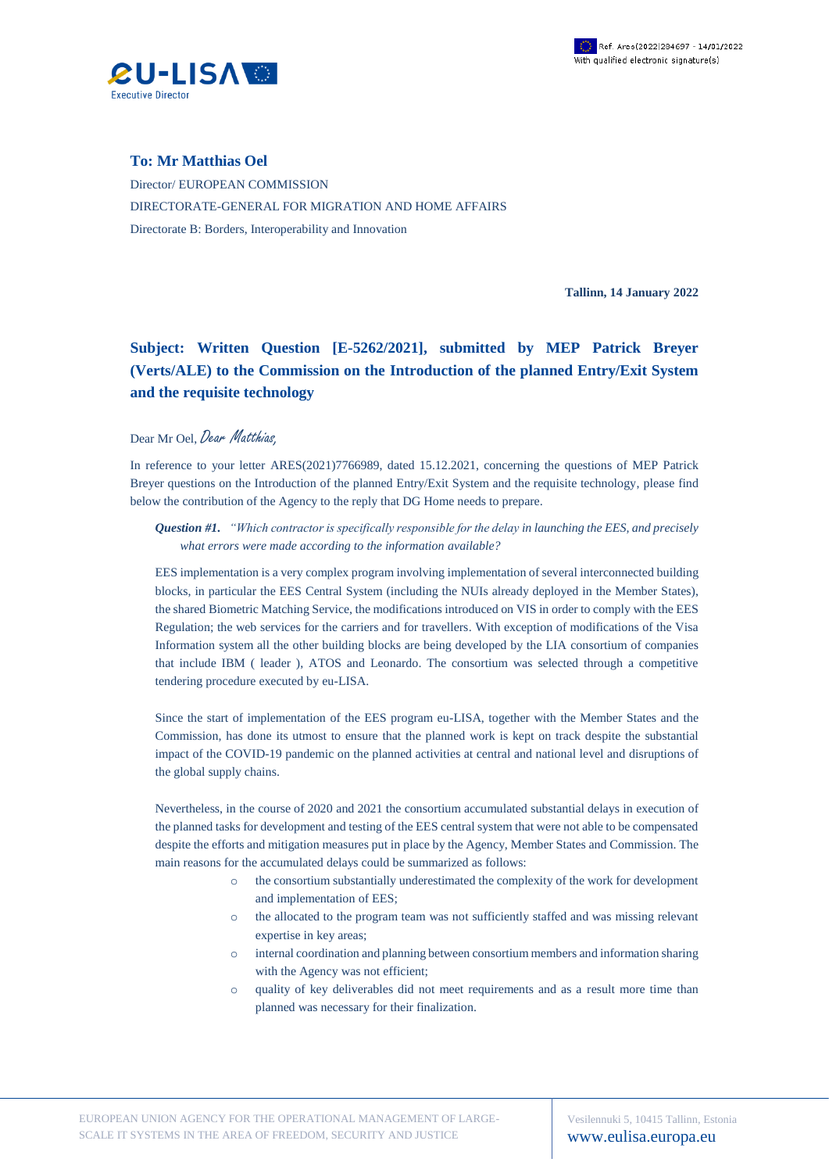

## **To: Mr Matthias Oel**

Director/ EUROPEAN COMMISSION DIRECTORATE-GENERAL FOR MIGRATION AND HOME AFFAIRS Directorate B: Borders, Interoperability and Innovation

**Tallinn, 14 January 2022**

## **Subject: Written Question [E-5262/2021], submitted by MEP Patrick Breyer (Verts/ALE) to the Commission on the Introduction of the planned Entry/Exit System and the requisite technology**

## Dear Mr Oel, Dear Matthias,

In reference to your letter ARES(2021)7766989, dated 15.12.2021, concerning the questions of MEP Patrick Breyer questions on the Introduction of the planned Entry/Exit System and the requisite technology, please find below the contribution of the Agency to the reply that DG Home needs to prepare.

## *Question #1. "Which contractor is specifically responsible for the delay in launching the EES, and precisely what errors were made according to the information available?*

EES implementation is a very complex program involving implementation of several interconnected building blocks, in particular the EES Central System (including the NUIs already deployed in the Member States), the shared Biometric Matching Service, the modifications introduced on VIS in order to comply with the EES Regulation; the web services for the carriers and for travellers. With exception of modifications of the Visa Information system all the other building blocks are being developed by the LIA consortium of companies that include IBM ( leader ), ATOS and Leonardo. The consortium was selected through a competitive tendering procedure executed by eu-LISA.

Since the start of implementation of the EES program eu-LISA, together with the Member States and the Commission, has done its utmost to ensure that the planned work is kept on track despite the substantial impact of the COVID-19 pandemic on the planned activities at central and national level and disruptions of the global supply chains.

Nevertheless, in the course of 2020 and 2021 the consortium accumulated substantial delays in execution of the planned tasks for development and testing of the EES central system that were not able to be compensated despite the efforts and mitigation measures put in place by the Agency, Member States and Commission. The main reasons for the accumulated delays could be summarized as follows:

- o the consortium substantially underestimated the complexity of the work for development and implementation of EES;
- o the allocated to the program team was not sufficiently staffed and was missing relevant expertise in key areas;
- o internal coordination and planning between consortium members and information sharing with the Agency was not efficient;
- o quality of key deliverables did not meet requirements and as a result more time than planned was necessary for their finalization.